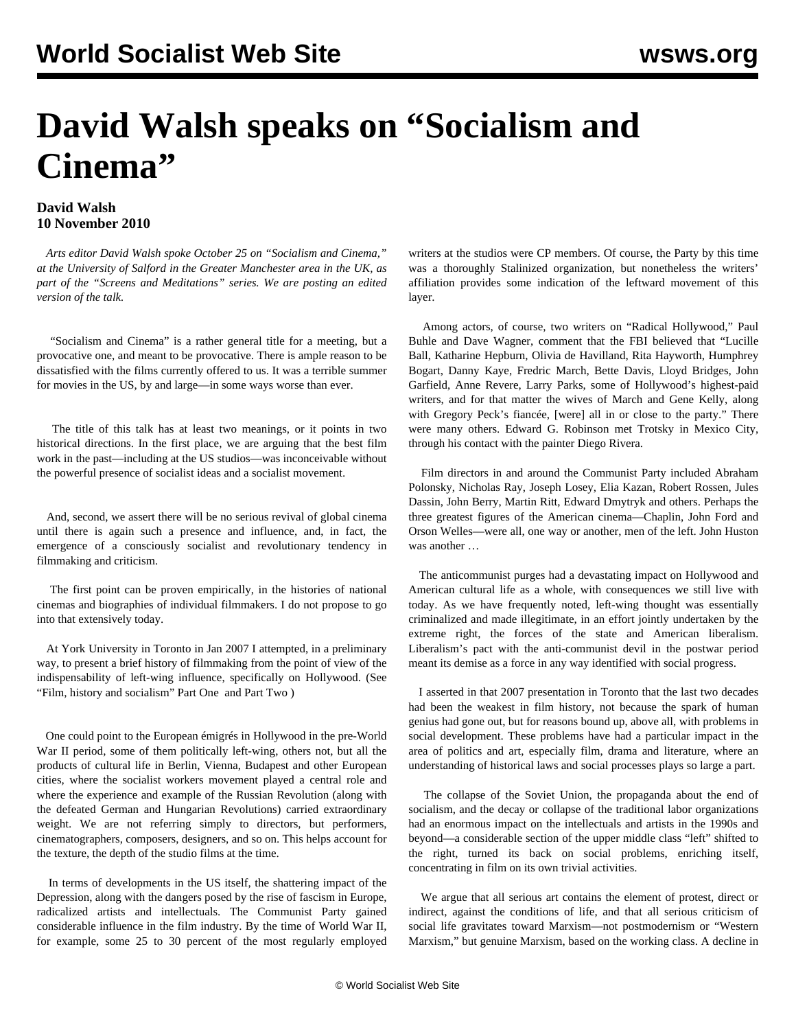## **David Walsh speaks on "Socialism and Cinema"**

## **David Walsh 10 November 2010**

 *Arts editor David Walsh spoke October 25 on "Socialism and Cinema," at the University of Salford in the Greater Manchester area in the UK, as part of the "Screens and Meditations" series. We are posting an edited version of the talk.*

 "Socialism and Cinema" is a rather general title for a meeting, but a provocative one, and meant to be provocative. There is ample reason to be dissatisfied with the films currently offered to us. It was a terrible summer for movies in the US, by and large—in some ways worse than ever.

 The title of this talk has at least two meanings, or it points in two historical directions. In the first place, we are arguing that the best film work in the past—including at the US studios—was inconceivable without the powerful presence of socialist ideas and a socialist movement.

 And, second, we assert there will be no serious revival of global cinema until there is again such a presence and influence, and, in fact, the emergence of a consciously socialist and revolutionary tendency in filmmaking and criticism.

 The first point can be proven empirically, in the histories of national cinemas and biographies of individual filmmakers. I do not propose to go into that extensively today.

 At York University in Toronto in Jan 2007 I attempted, in a preliminary way, to present a brief history of filmmaking from the point of view of the indispensability of left-wing influence, specifically on Hollywood. (See ["Film, history and socialism" Part One](/en/articles/2007/jan2007/york-j22.shtml) and [Part Two \)](/en/articles/2007/jan2007/york-j23.shtml)

 One could point to the European émigrés in Hollywood in the pre-World War II period, some of them politically left-wing, others not, but all the products of cultural life in Berlin, Vienna, Budapest and other European cities, where the socialist workers movement played a central role and where the experience and example of the Russian Revolution (along with the defeated German and Hungarian Revolutions) carried extraordinary weight. We are not referring simply to directors, but performers, cinematographers, composers, designers, and so on. This helps account for the texture, the depth of the studio films at the time.

 In terms of developments in the US itself, the shattering impact of the Depression, along with the dangers posed by the rise of fascism in Europe, radicalized artists and intellectuals. The Communist Party gained considerable influence in the film industry. By the time of World War II, for example, some 25 to 30 percent of the most regularly employed writers at the studios were CP members. Of course, the Party by this time was a thoroughly Stalinized organization, but nonetheless the writers' affiliation provides some indication of the leftward movement of this layer.

 Among actors, of course, two writers on "Radical Hollywood," Paul Buhle and Dave Wagner, comment that the FBI believed that "Lucille Ball, Katharine Hepburn, Olivia de Havilland, Rita Hayworth, Humphrey Bogart, Danny Kaye, Fredric March, Bette Davis, Lloyd Bridges, John Garfield, Anne Revere, Larry Parks, some of Hollywood's highest-paid writers, and for that matter the wives of March and Gene Kelly, along with Gregory Peck's fiancée, [were] all in or close to the party." There were many others. Edward G. Robinson met Trotsky in Mexico City, through his contact with the painter Diego Rivera.

 Film directors in and around the Communist Party included Abraham Polonsky, Nicholas Ray, Joseph Losey, Elia Kazan, Robert Rossen, Jules Dassin, John Berry, Martin Ritt, Edward Dmytryk and others. Perhaps the three greatest figures of the American cinema—Chaplin, John Ford and Orson Welles—were all, one way or another, men of the left. John Huston was another …

 The anticommunist purges had a devastating impact on Hollywood and American cultural life as a whole, with consequences we still live with today. As we have frequently noted, left-wing thought was essentially criminalized and made illegitimate, in an effort jointly undertaken by the extreme right, the forces of the state and American liberalism. Liberalism's pact with the anti-communist devil in the postwar period meant its demise as a force in any way identified with social progress.

 I asserted in that 2007 presentation in Toronto that the last two decades had been the weakest in film history, not because the spark of human genius had gone out, but for reasons bound up, above all, with problems in social development. These problems have had a particular impact in the area of politics and art, especially film, drama and literature, where an understanding of historical laws and social processes plays so large a part.

 The collapse of the Soviet Union, the propaganda about the end of socialism, and the decay or collapse of the traditional labor organizations had an enormous impact on the intellectuals and artists in the 1990s and beyond—a considerable section of the upper middle class "left" shifted to the right, turned its back on social problems, enriching itself, concentrating in film on its own trivial activities.

 We argue that all serious art contains the element of protest, direct or indirect, against the conditions of life, and that all serious criticism of social life gravitates toward Marxism—not postmodernism or "Western Marxism," but genuine Marxism, based on the working class. A decline in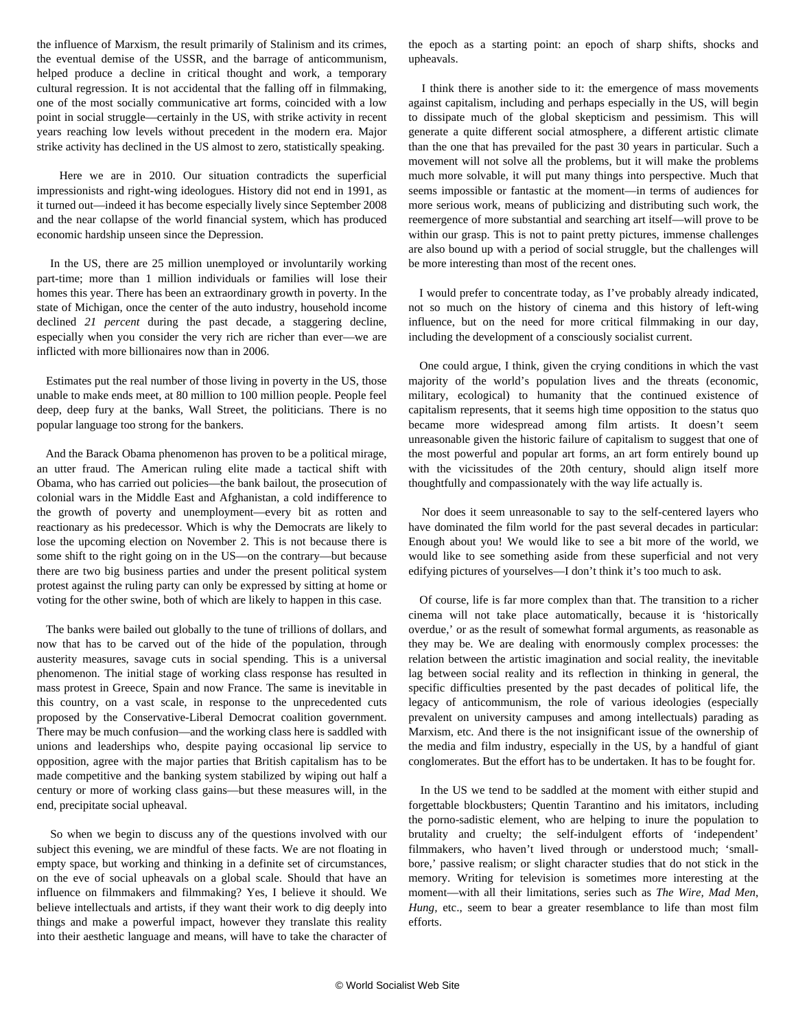the influence of Marxism, the result primarily of Stalinism and its crimes, the eventual demise of the USSR, and the barrage of anticommunism, helped produce a decline in critical thought and work, a temporary cultural regression. It is not accidental that the falling off in filmmaking, one of the most socially communicative art forms, coincided with a low point in social struggle—certainly in the US, with strike activity in recent years reaching low levels without precedent in the modern era. Major strike activity has declined in the US almost to zero, statistically speaking.

 Here we are in 2010. Our situation contradicts the superficial impressionists and right-wing ideologues. History did not end in 1991, as it turned out—indeed it has become especially lively since September 2008 and the near collapse of the world financial system, which has produced economic hardship unseen since the Depression.

 In the US, there are 25 million unemployed or involuntarily working part-time; more than 1 million individuals or families will lose their homes this year. There has been an extraordinary growth in poverty. In the state of Michigan, once the center of the auto industry, household income declined *21 percent* during the past decade, a staggering decline, especially when you consider the very rich are richer than ever—we are inflicted with more billionaires now than in 2006.

 Estimates put the real number of those living in poverty in the US, those unable to make ends meet, at 80 million to 100 million people. People feel deep, deep fury at the banks, Wall Street, the politicians. There is no popular language too strong for the bankers.

 And the Barack Obama phenomenon has proven to be a political mirage, an utter fraud. The American ruling elite made a tactical shift with Obama, who has carried out policies—the bank bailout, the prosecution of colonial wars in the Middle East and Afghanistan, a cold indifference to the growth of poverty and unemployment—every bit as rotten and reactionary as his predecessor. Which is why the Democrats are likely to lose the upcoming election on November 2. This is not because there is some shift to the right going on in the US—on the contrary—but because there are two big business parties and under the present political system protest against the ruling party can only be expressed by sitting at home or voting for the other swine, both of which are likely to happen in this case.

 The banks were bailed out globally to the tune of trillions of dollars, and now that has to be carved out of the hide of the population, through austerity measures, savage cuts in social spending. This is a universal phenomenon. The initial stage of working class response has resulted in mass protest in Greece, Spain and now France. The same is inevitable in this country, on a vast scale, in response to the unprecedented cuts proposed by the Conservative-Liberal Democrat coalition government. There may be much confusion—and the working class here is saddled with unions and leaderships who, despite paying occasional lip service to opposition, agree with the major parties that British capitalism has to be made competitive and the banking system stabilized by wiping out half a century or more of working class gains—but these measures will, in the end, precipitate social upheaval.

 So when we begin to discuss any of the questions involved with our subject this evening, we are mindful of these facts. We are not floating in empty space, but working and thinking in a definite set of circumstances, on the eve of social upheavals on a global scale. Should that have an influence on filmmakers and filmmaking? Yes, I believe it should. We believe intellectuals and artists, if they want their work to dig deeply into things and make a powerful impact, however they translate this reality into their aesthetic language and means, will have to take the character of the epoch as a starting point: an epoch of sharp shifts, shocks and upheavals.

 I think there is another side to it: the emergence of mass movements against capitalism, including and perhaps especially in the US, will begin to dissipate much of the global skepticism and pessimism. This will generate a quite different social atmosphere, a different artistic climate than the one that has prevailed for the past 30 years in particular. Such a movement will not solve all the problems, but it will make the problems much more solvable, it will put many things into perspective. Much that seems impossible or fantastic at the moment—in terms of audiences for more serious work, means of publicizing and distributing such work, the reemergence of more substantial and searching art itself—will prove to be within our grasp. This is not to paint pretty pictures, immense challenges are also bound up with a period of social struggle, but the challenges will be more interesting than most of the recent ones.

 I would prefer to concentrate today, as I've probably already indicated, not so much on the history of cinema and this history of left-wing influence, but on the need for more critical filmmaking in our day, including the development of a consciously socialist current.

 One could argue, I think, given the crying conditions in which the vast majority of the world's population lives and the threats (economic, military, ecological) to humanity that the continued existence of capitalism represents, that it seems high time opposition to the status quo became more widespread among film artists. It doesn't seem unreasonable given the historic failure of capitalism to suggest that one of the most powerful and popular art forms, an art form entirely bound up with the vicissitudes of the 20th century, should align itself more thoughtfully and compassionately with the way life actually is.

 Nor does it seem unreasonable to say to the self-centered layers who have dominated the film world for the past several decades in particular: Enough about you! We would like to see a bit more of the world, we would like to see something aside from these superficial and not very edifying pictures of yourselves—I don't think it's too much to ask.

 Of course, life is far more complex than that. The transition to a richer cinema will not take place automatically, because it is 'historically overdue,' or as the result of somewhat formal arguments, as reasonable as they may be. We are dealing with enormously complex processes: the relation between the artistic imagination and social reality, the inevitable lag between social reality and its reflection in thinking in general, the specific difficulties presented by the past decades of political life, the legacy of anticommunism, the role of various ideologies (especially prevalent on university campuses and among intellectuals) parading as Marxism, etc. And there is the not insignificant issue of the ownership of the media and film industry, especially in the US, by a handful of giant conglomerates. But the effort has to be undertaken. It has to be fought for.

 In the US we tend to be saddled at the moment with either stupid and forgettable blockbusters; Quentin Tarantino and his imitators, including the porno-sadistic element, who are helping to inure the population to brutality and cruelty; the self-indulgent efforts of 'independent' filmmakers, who haven't lived through or understood much; 'smallbore,' passive realism; or slight character studies that do not stick in the memory. Writing for television is sometimes more interesting at the moment—with all their limitations, series such as *The Wire, Mad Men*, *Hung,* etc., seem to bear a greater resemblance to life than most film efforts.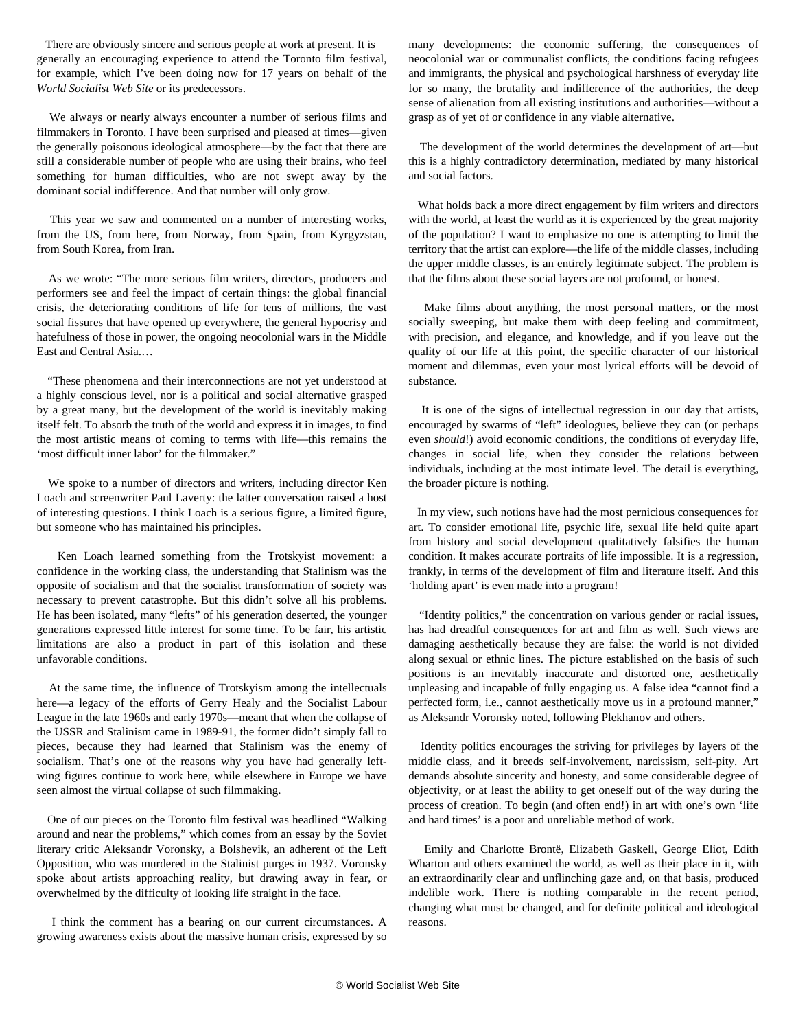There are obviously sincere and serious people at work at present. It is generally an encouraging experience to attend the Toronto film festival, for example, which I've been doing now for 17 years on behalf of the *World Socialist Web Site* or its predecessors.

 We always or nearly always encounter a number of serious films and filmmakers in Toronto. I have been surprised and pleased at times—given the generally poisonous ideological atmosphere—by the fact that there are still a considerable number of people who are using their brains, who feel something for human difficulties, who are not swept away by the dominant social indifference. And that number will only grow.

 This year we saw and commented on a number of interesting works, from the US, from here, from Norway, from Spain, from Kyrgyzstan, from South Korea, from Iran.

 As we wrote: "The more serious film writers, directors, producers and performers see and feel the impact of certain things: the global financial crisis, the deteriorating conditions of life for tens of millions, the vast social fissures that have opened up everywhere, the general hypocrisy and hatefulness of those in power, the ongoing neocolonial wars in the Middle East and Central Asia.…

 "These phenomena and their interconnections are not yet understood at a highly conscious level, nor is a political and social alternative grasped by a great many, but the development of the world is inevitably making itself felt. To absorb the truth of the world and express it in images, to find the most artistic means of coming to terms with life—this remains the 'most difficult inner labor' for the filmmaker."

 We spoke to a number of directors and writers, including director Ken Loach and screenwriter Paul Laverty: the latter conversation raised a host of interesting questions. I think Loach is a serious figure, a limited figure, but someone who has maintained his principles.

 Ken Loach learned something from the Trotskyist movement: a confidence in the working class, the understanding that Stalinism was the opposite of socialism and that the socialist transformation of society was necessary to prevent catastrophe. But this didn't solve all his problems. He has been isolated, many "lefts" of his generation deserted, the younger generations expressed little interest for some time. To be fair, his artistic limitations are also a product in part of this isolation and these unfavorable conditions.

 At the same time, the influence of Trotskyism among the intellectuals here—a legacy of the efforts of Gerry Healy and the Socialist Labour League in the late 1960s and early 1970s—meant that when the collapse of the USSR and Stalinism came in 1989-91, the former didn't simply fall to pieces, because they had learned that Stalinism was the enemy of socialism. That's one of the reasons why you have had generally leftwing figures continue to work here, while elsewhere in Europe we have seen almost the virtual collapse of such filmmaking.

 One of our pieces on the Toronto film festival was headlined "Walking around and near the problems," which comes from an essay by the Soviet literary critic Aleksandr Voronsky, a Bolshevik, an adherent of the Left Opposition, who was murdered in the Stalinist purges in 1937. Voronsky spoke about artists approaching reality, but drawing away in fear, or overwhelmed by the difficulty of looking life straight in the face.

 I think the comment has a bearing on our current circumstances. A growing awareness exists about the massive human crisis, expressed by so many developments: the economic suffering, the consequences of neocolonial war or communalist conflicts, the conditions facing refugees and immigrants, the physical and psychological harshness of everyday life for so many, the brutality and indifference of the authorities, the deep sense of alienation from all existing institutions and authorities—without a grasp as of yet of or confidence in any viable alternative.

 The development of the world determines the development of art—but this is a highly contradictory determination, mediated by many historical and social factors.

 What holds back a more direct engagement by film writers and directors with the world, at least the world as it is experienced by the great majority of the population? I want to emphasize no one is attempting to limit the territory that the artist can explore—the life of the middle classes, including the upper middle classes, is an entirely legitimate subject. The problem is that the films about these social layers are not profound, or honest.

 Make films about anything, the most personal matters, or the most socially sweeping, but make them with deep feeling and commitment, with precision, and elegance, and knowledge, and if you leave out the quality of our life at this point, the specific character of our historical moment and dilemmas, even your most lyrical efforts will be devoid of substance.

 It is one of the signs of intellectual regression in our day that artists, encouraged by swarms of "left" ideologues, believe they can (or perhaps even *should*!) avoid economic conditions, the conditions of everyday life, changes in social life, when they consider the relations between individuals, including at the most intimate level. The detail is everything, the broader picture is nothing.

 In my view, such notions have had the most pernicious consequences for art. To consider emotional life, psychic life, sexual life held quite apart from history and social development qualitatively falsifies the human condition. It makes accurate portraits of life impossible. It is a regression, frankly, in terms of the development of film and literature itself. And this 'holding apart' is even made into a program!

 "Identity politics," the concentration on various gender or racial issues, has had dreadful consequences for art and film as well. Such views are damaging aesthetically because they are false: the world is not divided along sexual or ethnic lines. The picture established on the basis of such positions is an inevitably inaccurate and distorted one, aesthetically unpleasing and incapable of fully engaging us. A false idea "cannot find a perfected form, i.e., cannot aesthetically move us in a profound manner," as Aleksandr Voronsky noted, following Plekhanov and others.

 Identity politics encourages the striving for privileges by layers of the middle class, and it breeds self-involvement, narcissism, self-pity. Art demands absolute sincerity and honesty, and some considerable degree of objectivity, or at least the ability to get oneself out of the way during the process of creation. To begin (and often end!) in art with one's own 'life and hard times' is a poor and unreliable method of work.

 Emily and Charlotte Brontë, Elizabeth Gaskell, George Eliot, Edith Wharton and others examined the world, as well as their place in it, with an extraordinarily clear and unflinching gaze and, on that basis, produced indelible work. There is nothing comparable in the recent period, changing what must be changed, and for definite political and ideological reasons.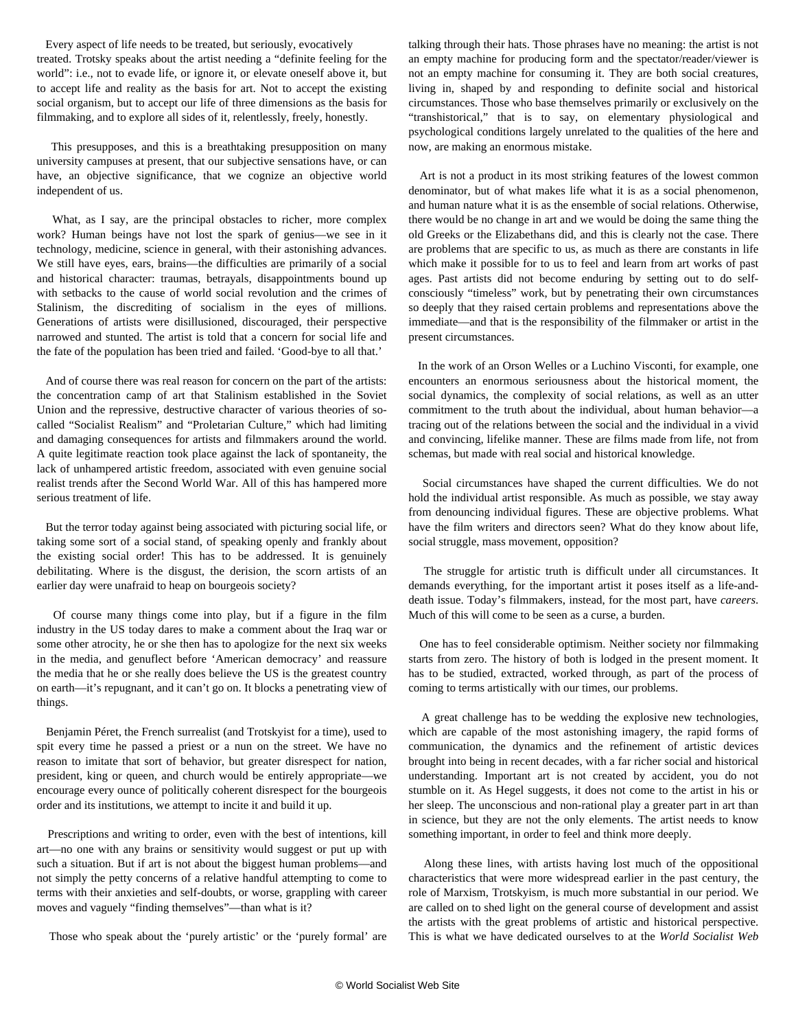Every aspect of life needs to be treated, but seriously, evocatively treated. Trotsky speaks about the artist needing a "definite feeling for the world": i.e., not to evade life, or ignore it, or elevate oneself above it, but to accept life and reality as the basis for art. Not to accept the existing social organism, but to accept our life of three dimensions as the basis for filmmaking, and to explore all sides of it, relentlessly, freely, honestly.

 This presupposes, and this is a breathtaking presupposition on many university campuses at present, that our subjective sensations have, or can have, an objective significance, that we cognize an objective world independent of us.

What, as I say, are the principal obstacles to richer, more complex work? Human beings have not lost the spark of genius—we see in it technology, medicine, science in general, with their astonishing advances. We still have eyes, ears, brains—the difficulties are primarily of a social and historical character: traumas, betrayals, disappointments bound up with setbacks to the cause of world social revolution and the crimes of Stalinism, the discrediting of socialism in the eyes of millions. Generations of artists were disillusioned, discouraged, their perspective narrowed and stunted. The artist is told that a concern for social life and the fate of the population has been tried and failed. 'Good-bye to all that.'

 And of course there was real reason for concern on the part of the artists: the concentration camp of art that Stalinism established in the Soviet Union and the repressive, destructive character of various theories of socalled "Socialist Realism" and "Proletarian Culture," which had limiting and damaging consequences for artists and filmmakers around the world. A quite legitimate reaction took place against the lack of spontaneity, the lack of unhampered artistic freedom, associated with even genuine social realist trends after the Second World War. All of this has hampered more serious treatment of life.

 But the terror today against being associated with picturing social life, or taking some sort of a social stand, of speaking openly and frankly about the existing social order! This has to be addressed. It is genuinely debilitating. Where is the disgust, the derision, the scorn artists of an earlier day were unafraid to heap on bourgeois society?

 Of course many things come into play, but if a figure in the film industry in the US today dares to make a comment about the Iraq war or some other atrocity, he or she then has to apologize for the next six weeks in the media, and genuflect before 'American democracy' and reassure the media that he or she really does believe the US is the greatest country on earth—it's repugnant, and it can't go on. It blocks a penetrating view of things.

 Benjamin Péret, the French surrealist (and Trotskyist for a time), used to spit every time he passed a priest or a nun on the street. We have no reason to imitate that sort of behavior, but greater disrespect for nation, president, king or queen, and church would be entirely appropriate—we encourage every ounce of politically coherent disrespect for the bourgeois order and its institutions, we attempt to incite it and build it up.

 Prescriptions and writing to order, even with the best of intentions, kill art—no one with any brains or sensitivity would suggest or put up with such a situation. But if art is not about the biggest human problems—and not simply the petty concerns of a relative handful attempting to come to terms with their anxieties and self-doubts, or worse, grappling with career moves and vaguely "finding themselves"—than what is it?

Those who speak about the 'purely artistic' or the 'purely formal' are

talking through their hats. Those phrases have no meaning: the artist is not an empty machine for producing form and the spectator/reader/viewer is not an empty machine for consuming it. They are both social creatures, living in, shaped by and responding to definite social and historical circumstances. Those who base themselves primarily or exclusively on the "transhistorical," that is to say, on elementary physiological and psychological conditions largely unrelated to the qualities of the here and now, are making an enormous mistake.

 Art is not a product in its most striking features of the lowest common denominator, but of what makes life what it is as a social phenomenon, and human nature what it is as the ensemble of social relations. Otherwise, there would be no change in art and we would be doing the same thing the old Greeks or the Elizabethans did, and this is clearly not the case. There are problems that are specific to us, as much as there are constants in life which make it possible for to us to feel and learn from art works of past ages. Past artists did not become enduring by setting out to do selfconsciously "timeless" work, but by penetrating their own circumstances so deeply that they raised certain problems and representations above the immediate—and that is the responsibility of the filmmaker or artist in the present circumstances.

 In the work of an Orson Welles or a Luchino Visconti, for example, one encounters an enormous seriousness about the historical moment, the social dynamics, the complexity of social relations, as well as an utter commitment to the truth about the individual, about human behavior—a tracing out of the relations between the social and the individual in a vivid and convincing, lifelike manner. These are films made from life, not from schemas, but made with real social and historical knowledge.

 Social circumstances have shaped the current difficulties. We do not hold the individual artist responsible. As much as possible, we stay away from denouncing individual figures. These are objective problems. What have the film writers and directors seen? What do they know about life, social struggle, mass movement, opposition?

 The struggle for artistic truth is difficult under all circumstances. It demands everything, for the important artist it poses itself as a life-anddeath issue. Today's filmmakers, instead, for the most part, have *careers*. Much of this will come to be seen as a curse, a burden.

 One has to feel considerable optimism. Neither society nor filmmaking starts from zero. The history of both is lodged in the present moment. It has to be studied, extracted, worked through, as part of the process of coming to terms artistically with our times, our problems.

 A great challenge has to be wedding the explosive new technologies, which are capable of the most astonishing imagery, the rapid forms of communication, the dynamics and the refinement of artistic devices brought into being in recent decades, with a far richer social and historical understanding. Important art is not created by accident, you do not stumble on it. As Hegel suggests, it does not come to the artist in his or her sleep. The unconscious and non-rational play a greater part in art than in science, but they are not the only elements. The artist needs to know something important, in order to feel and think more deeply.

 Along these lines, with artists having lost much of the oppositional characteristics that were more widespread earlier in the past century, the role of Marxism, Trotskyism, is much more substantial in our period. We are called on to shed light on the general course of development and assist the artists with the great problems of artistic and historical perspective. This is what we have dedicated ourselves to at the *World Socialist Web*